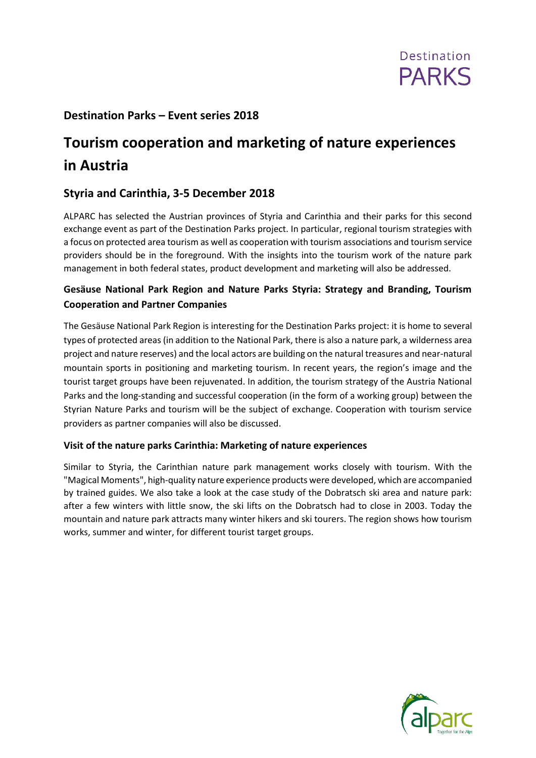

## **Destination Parks – Event series 2018**

# **Tourism cooperation and marketing of nature experiences in Austria**

# **Styria and Carinthia, 3-5 December 2018**

ALPARC has selected the Austrian provinces of Styria and Carinthia and their parks for this second exchange event as part of the Destination Parks project. In particular, regional tourism strategies with a focus on protected area tourism as well as cooperation with tourism associations and tourism service providers should be in the foreground. With the insights into the tourism work of the nature park management in both federal states, product development and marketing will also be addressed.

## **Gesäuse National Park Region and Nature Parks Styria: Strategy and Branding, Tourism Cooperation and Partner Companies**

The Gesäuse National Park Region is interesting for the Destination Parks project: it is home to several types of protected areas (in addition to the National Park, there is also a nature park, a wilderness area project and nature reserves) and the local actors are building on the natural treasures and near-natural mountain sports in positioning and marketing tourism. In recent years, the region's image and the tourist target groups have been rejuvenated. In addition, the tourism strategy of the Austria National Parks and the long-standing and successful cooperation (in the form of a working group) between the Styrian Nature Parks and tourism will be the subject of exchange. Cooperation with tourism service providers as partner companies will also be discussed.

#### **Visit of the nature parks Carinthia: Marketing of nature experiences**

Similar to Styria, the Carinthian nature park management works closely with tourism. With the "Magical Moments", high-quality nature experience products were developed, which are accompanied by trained guides. We also take a look at the case study of the Dobratsch ski area and nature park: after a few winters with little snow, the ski lifts on the Dobratsch had to close in 2003. Today the mountain and nature park attracts many winter hikers and ski tourers. The region shows how tourism works, summer and winter, for different tourist target groups.

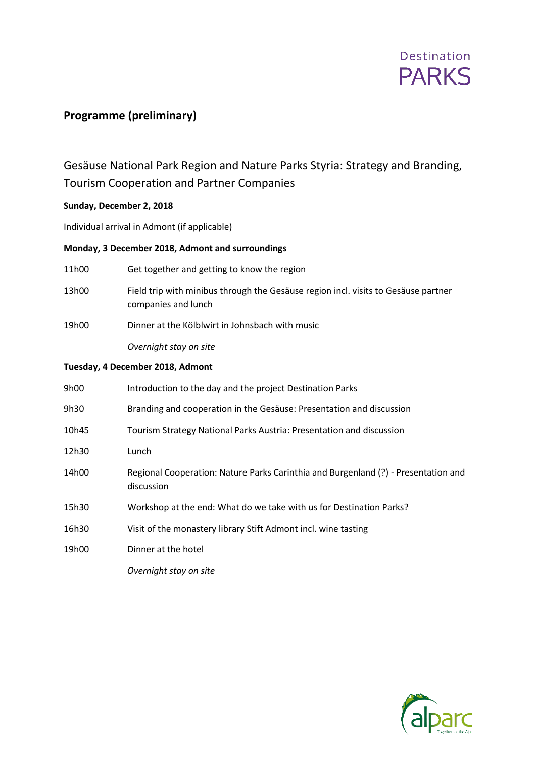

# **Programme (preliminary)**

# Gesäuse National Park Region and Nature Parks Styria: Strategy and Branding, Tourism Cooperation and Partner Companies

#### **Sunday, December 2, 2018**

Individual arrival in Admont (if applicable)

#### **Monday, 3 December 2018, Admont and surroundings**

- 11h00 Get together and getting to know the region
- 13h00 Field trip with minibus through the Gesäuse region incl. visits to Gesäuse partner companies and lunch
- 19h00 Dinner at the Kölblwirt in Johnsbach with music

*Overnight stay on site*

#### **Tuesday, 4 December 2018, Admont**

| 9h00  | Introduction to the day and the project Destination Parks                                        |
|-------|--------------------------------------------------------------------------------------------------|
| 9h30  | Branding and cooperation in the Gesäuse: Presentation and discussion                             |
| 10h45 | Tourism Strategy National Parks Austria: Presentation and discussion                             |
| 12h30 | Lunch                                                                                            |
| 14h00 | Regional Cooperation: Nature Parks Carinthia and Burgenland (?) - Presentation and<br>discussion |
| 15h30 | Workshop at the end: What do we take with us for Destination Parks?                              |
| 16h30 | Visit of the monastery library Stift Admont incl. wine tasting                                   |
| 19h00 | Dinner at the hotel                                                                              |
|       | Overnight stay on site                                                                           |